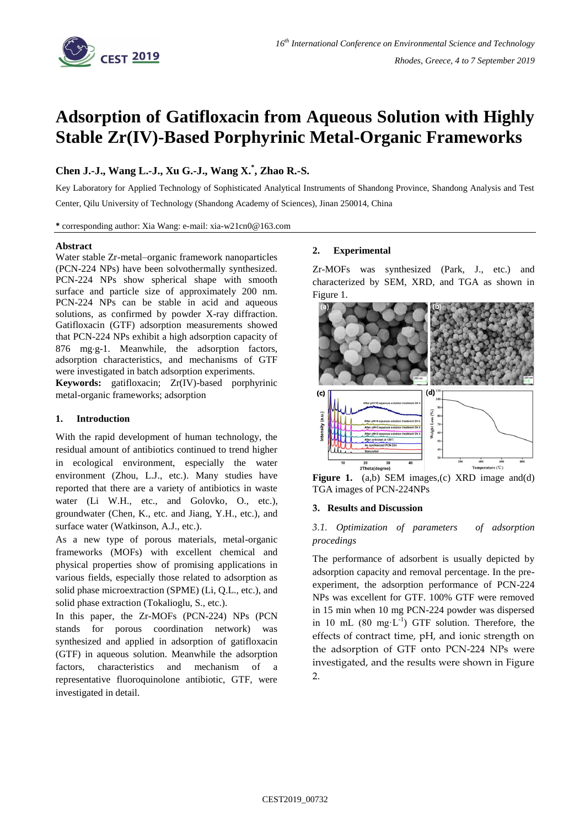

# **Adsorption of Gatifloxacin from Aqueous Solution with Highly Stable Zr(IV)-Based Porphyrinic Metal-Organic Frameworks**

## **Chen J.-J., Wang L.-J., Xu G.-J., Wang X. \* , Zhao R.-S.**

Key Laboratory for Applied Technology of Sophisticated Analytical Instruments of Shandong Province, Shandong Analysis and Test Center, Qilu University of Technology (Shandong Academy of Sciences), Jinan 250014, China

**\*** corresponding author: Xia Wang: e-mail: xia-w21cn0@163.com

## **Abstract**

Water stable Zr-metal–organic framework nanoparticles (PCN-224 NPs) have been solvothermally synthesized. PCN-224 NPs show spherical shape with smooth surface and particle size of approximately 200 nm. PCN-224 NPs can be stable in acid and aqueous solutions, as confirmed by powder X-ray diffraction. Gatifloxacin (GTF) adsorption measurements showed that PCN-224 NPs exhibit a high adsorption capacity of 876 mg·g-1. Meanwhile, the adsorption factors, adsorption characteristics, and mechanisms of GTF were investigated in batch adsorption experiments.

**Keywords:** gatifloxacin; Zr(IV)-based porphyrinic metal-organic frameworks; adsorption

## **1. Introduction**

With the rapid development of human technology, the residual amount of antibiotics continued to trend higher in ecological environment, especially the water environment (Zhou, L.J., etc.). Many studies have reported that there are a variety of antibiotics in waste water (Li W.H., etc., and Golovko, O., etc.), groundwater (Chen, K., etc. and Jiang, Y.H., etc.), and surface water (Watkinson, A.J., etc.).

As a new type of porous materials, metal-organic frameworks (MOFs) with excellent chemical and physical properties show of promising applications in various fields, especially those related to adsorption as solid phase microextraction (SPME) (Li, Q.L., etc.), and solid phase extraction (Tokalioglu, S., etc.).

In this paper, the Zr-MOFs (PCN-224) NPs (PCN stands for porous coordination network) was synthesized and applied in adsorption of gatifloxacin (GTF) in aqueous solution. Meanwhile the adsorption factors, characteristics and mechanism of a representative fluoroquinolone antibiotic, GTF, were investigated in detail.

## **2. Experimental**

Zr-MOFs was synthesized (Park, J., etc.) and characterized by SEM, XRD, and TGA as shown in Figure 1.



**Figure 1.** (a,b) SEM images,(c) XRD image and(d) TGA images of PCN-224NPs

## **3. Results and Discussion**

## *3.1. Optimization of parameters of adsorption procedings*

The performance of adsorbent is usually depicted by adsorption capacity and removal percentage. In the preexperiment, the adsorption performance of PCN-224 NPs was excellent for GTF. 100% GTF were removed in 15 min when 10 mg PCN-224 powder was dispersed in 10 mL  $(80 \text{ mg} \cdot \text{L}^{-1})$  GTF solution. Therefore, the effects of contract time, pH, and ionic strength on the adsorption of GTF onto PCN-224 NPs were investigated, and the results were shown in Figure 2.